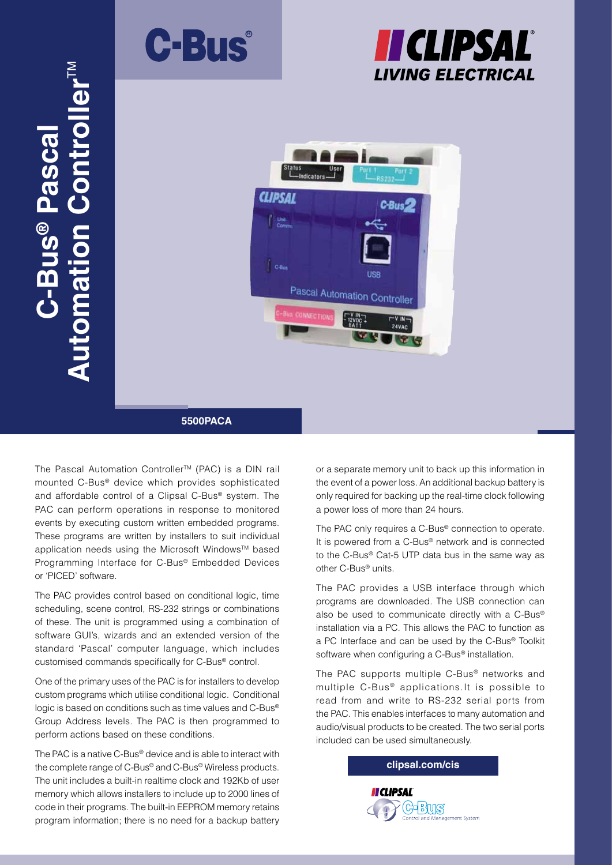





# **5500PACA**

The Pascal Automation Controller™ (PAC) is a DIN rail mounted C-Bus® device which provides sophisticated and affordable control of a Clipsal C-Bus® system. The PAC can perform operations in response to monitored events by executing custom written embedded programs. These programs are written by installers to suit individual application needs using the Microsoft Windows™ based Programming Interface for C-Bus® Embedded Devices or 'PICED' software.

us<sup>®</sup> Pasca

**Automation Controller<sup>TM</sup>** 

n Controller<sup>™</sup>

**® Pascal** 

The PAC provides control based on conditional logic, time scheduling, scene control, RS-232 strings or combinations of these. The unit is programmed using a combination of software GUI's, wizards and an extended version of the standard 'Pascal' computer language, which includes customised commands specifically for C-Bus® control.

One of the primary uses of the PAC is for installers to develop custom programs which utilise conditional logic. Conditional logic is based on conditions such as time values and C-Bus® Group Address levels. The PAC is then programmed to perform actions based on these conditions.

The PAC is a native C-Bus® device and is able to interact with the complete range of C-Bus® and C-Bus® Wireless products. The unit includes a built-in realtime clock and 192Kb of user memory which allows installers to include up to 2000 lines of code in their programs. The built-in EEPROM memory retains program information; there is no need for a backup battery or a separate memory unit to back up this information in the event of a power loss. An additional backup battery is only required for backing up the real-time clock following a power loss of more than 24 hours.

The PAC only requires a C-Bus® connection to operate. It is powered from a C-Bus® network and is connected to the C-Bus® Cat-5 UTP data bus in the same way as other C-Bus® units.

The PAC provides a USB interface through which programs are downloaded. The USB connection can also be used to communicate directly with a C-Bus® installation via a PC. This allows the PAC to function as a PC Interface and can be used by the C-Bus® Toolkit software when configuring a C-Bus® installation.

The PAC supports multiple C-Bus® networks and multiple  $C$ -Bus<sup>®</sup> applications. It is possible to read from and write to RS-232 serial ports from the PAC. This enables interfaces to many automation and audio/visual products to be created. The two serial ports included can be used simultaneously.

**clipsal.com/cis**

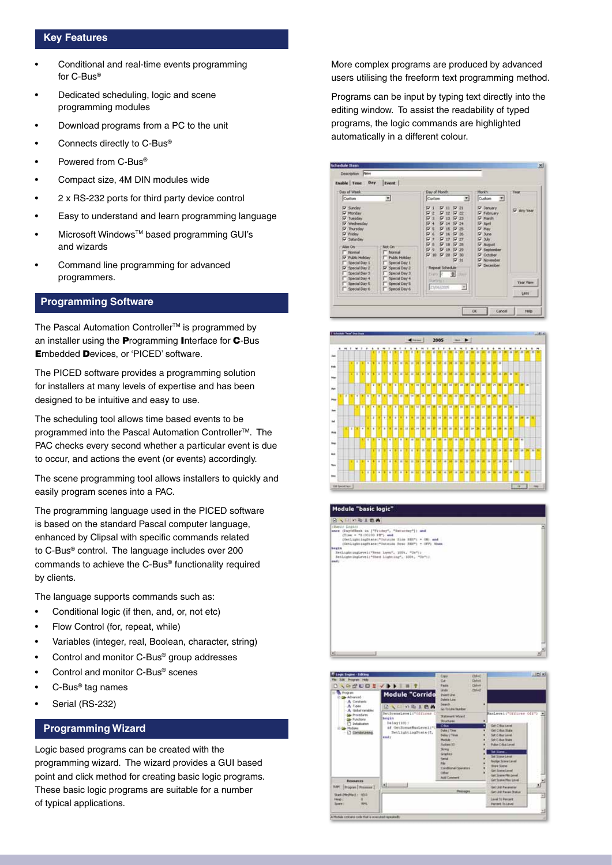# **Key Features**

- Conditional and real-time events programming for C-Bus®
- Dedicated scheduling, logic and scene programming modules
- Download programs from a PC to the unit
- Connects directly to C-Bus®
- Powered from C-Bus®
- Compact size, 4M DIN modules wide
- 2 x RS-232 ports for third party device control
- Easy to understand and learn programming language
- Microsoft WindowsTM based programming GUI's and wizards
- Command line programming for advanced programmers.

# **Programming Software**

The Pascal Automation Controller™ is programmed by an installer using the **P**rogramming **I**nterface for **C**-Bus **E**mbedded **D**evices, or 'PICED' software.

The PICED software provides a programming solution for installers at many levels of expertise and has been designed to be intuitive and easy to use.

The scheduling tool allows time based events to be programmed into the Pascal Automation Controller<sup>™</sup>. The PAC checks every second whether a particular event is due to occur, and actions the event (or events) accordingly.

The scene programming tool allows installers to quickly and easily program scenes into a PAC.

The programming language used in the PICED software is based on the standard Pascal computer language, enhanced by Clipsal with specific commands related to C-Bus® control. The language includes over 200 commands to achieve the C-Bus® functionality required by clients.

The language supports commands such as:

- Conditional logic (if then, and, or, not etc)
- Flow Control (for, repeat, while)
- Variables (integer, real, Boolean, character, string)
- Control and monitor C-Bus® group addresses
- Control and monitor C-Bus® scenes
- C-Bus® tag names
- Serial (RS-232)

# **Programming Wizard**

Logic based programs can be created with the programming wizard. The wizard provides a GUI based point and click method for creating basic logic programs. These basic logic programs are suitable for a number of typical applications.

More complex programs are produced by advanced users utilising the freeform text programming method.

Programs can be input by typing text directly into the editing window. To assist the readability of typed programs, the logic commands are highlighted automatically in a different colour.







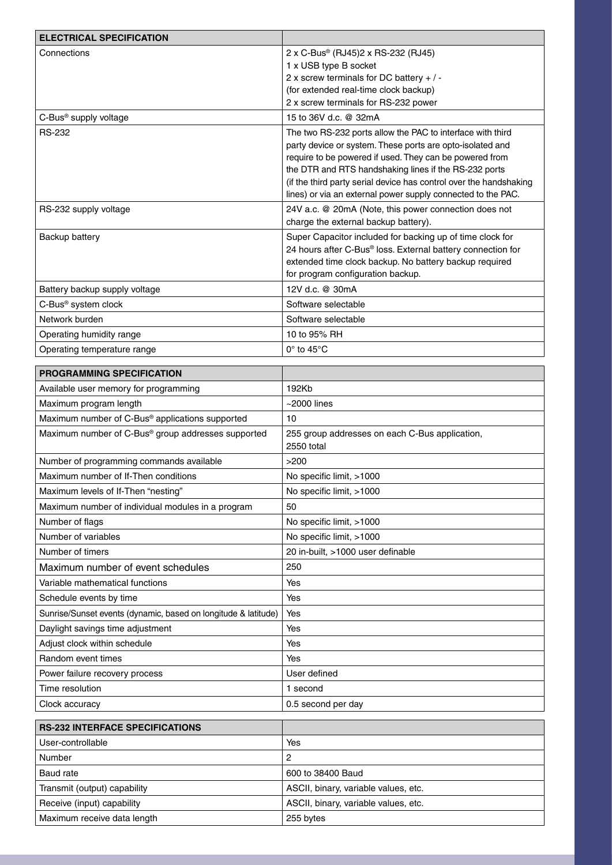| <b>ELECTRICAL SPECIFICATION</b>                                |                                                                                                                         |
|----------------------------------------------------------------|-------------------------------------------------------------------------------------------------------------------------|
| Connections                                                    | 2 x C-Bus® (RJ45)2 x RS-232 (RJ45)                                                                                      |
|                                                                | 1 x USB type B socket                                                                                                   |
|                                                                | 2 x screw terminals for DC battery $+/-$                                                                                |
|                                                                | (for extended real-time clock backup)                                                                                   |
|                                                                | 2 x screw terminals for RS-232 power                                                                                    |
| C-Bus <sup>®</sup> supply voltage                              | 15 to 36V d.c. @ 32mA                                                                                                   |
| <b>RS-232</b>                                                  | The two RS-232 ports allow the PAC to interface with third<br>party device or system. These ports are opto-isolated and |
|                                                                | require to be powered if used. They can be powered from                                                                 |
|                                                                | the DTR and RTS handshaking lines if the RS-232 ports                                                                   |
|                                                                | (if the third party serial device has control over the handshaking                                                      |
|                                                                | lines) or via an external power supply connected to the PAC.                                                            |
| RS-232 supply voltage                                          | 24V a.c. @ 20mA (Note, this power connection does not                                                                   |
|                                                                | charge the external backup battery).                                                                                    |
| Backup battery                                                 | Super Capacitor included for backing up of time clock for                                                               |
|                                                                | 24 hours after C-Bus® loss. External battery connection for                                                             |
|                                                                | extended time clock backup. No battery backup required<br>for program configuration backup.                             |
| Battery backup supply voltage                                  | 12V d.c. @ 30mA                                                                                                         |
| C-Bus <sup>®</sup> system clock                                | Software selectable                                                                                                     |
| Network burden                                                 | Software selectable                                                                                                     |
|                                                                |                                                                                                                         |
| Operating humidity range                                       | 10 to 95% RH                                                                                                            |
| Operating temperature range                                    | $0^\circ$ to 45 $^\circ$ C                                                                                              |
| PROGRAMMING SPECIFICATION                                      |                                                                                                                         |
| Available user memory for programming                          | 192Kb                                                                                                                   |
| Maximum program length                                         | $~2000$ lines                                                                                                           |
| Maximum number of C-Bus® applications supported                | 10                                                                                                                      |
| Maximum number of C-Bus® group addresses supported             | 255 group addresses on each C-Bus application,<br>2550 total                                                            |
| Number of programming commands available                       | >200                                                                                                                    |
| Maximum number of If-Then conditions                           | No specific limit, >1000                                                                                                |
| Maximum levels of If-Then "nesting"                            | No specific limit, >1000                                                                                                |
| Maximum number of individual modules in a program              | 50                                                                                                                      |
| Number of flags                                                | No specific limit, >1000                                                                                                |
| Number of variables                                            | No specific limit, >1000                                                                                                |
| Number of timers                                               | 20 in-built, >1000 user definable                                                                                       |
| Maximum number of event schedules                              | 250                                                                                                                     |
| Variable mathematical functions                                | Yes                                                                                                                     |
| Schedule events by time                                        | Yes                                                                                                                     |
| Sunrise/Sunset events (dynamic, based on longitude & latitude) | Yes                                                                                                                     |
| Daylight savings time adjustment                               | Yes                                                                                                                     |
| Adjust clock within schedule                                   | Yes                                                                                                                     |
| Random event times                                             | Yes                                                                                                                     |
| Power failure recovery process                                 | User defined                                                                                                            |
| Time resolution                                                | 1 second                                                                                                                |
|                                                                |                                                                                                                         |
| Clock accuracy                                                 | 0.5 second per day                                                                                                      |
| <b>RS-232 INTERFACE SPECIFICATIONS</b>                         |                                                                                                                         |
| User-controllable                                              | Yes                                                                                                                     |
| Number                                                         | 2                                                                                                                       |
| Baud rate                                                      | 600 to 38400 Baud                                                                                                       |
| Transmit (output) capability                                   | ASCII, binary, variable values, etc.                                                                                    |
| Receive (input) capability                                     | ASCII, binary, variable values, etc.                                                                                    |
| Maximum receive data length                                    | 255 bytes                                                                                                               |